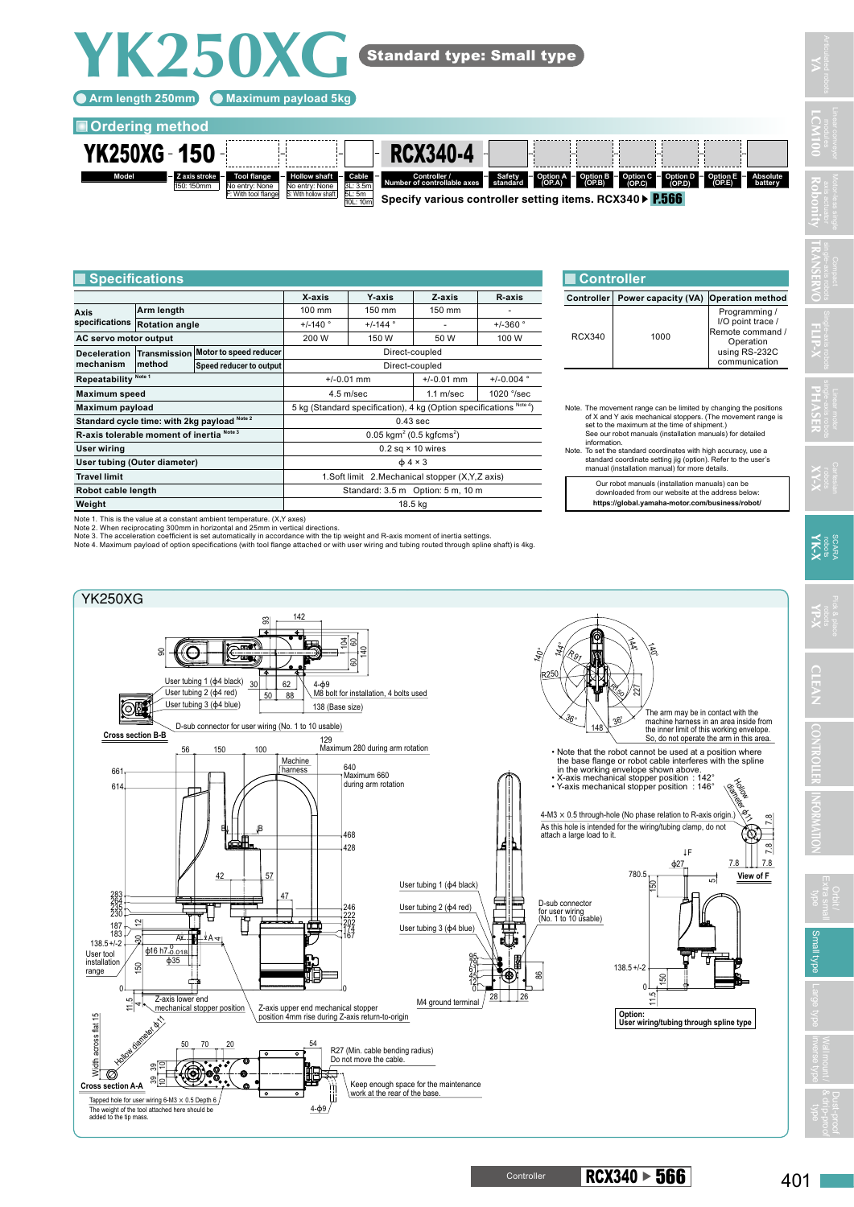**YK250XG**

## **Ordering method**



|                                              | <b>Specifications</b> |                                                                         |                                                                    |                |                       |               | <b>Controller</b>                                                                                                                                                                                                                          |       |
|----------------------------------------------|-----------------------|-------------------------------------------------------------------------|--------------------------------------------------------------------|----------------|-----------------------|---------------|--------------------------------------------------------------------------------------------------------------------------------------------------------------------------------------------------------------------------------------------|-------|
|                                              |                       |                                                                         | X-axis                                                             | <b>Y-axis</b>  | Z-axis                | R-axis        | Controller                                                                                                                                                                                                                                 | Power |
| Axis<br>specifications                       | Arm length            |                                                                         | 100 mm                                                             | 150 mm         | 150 mm                |               |                                                                                                                                                                                                                                            |       |
|                                              | <b>Rotation angle</b> |                                                                         | $+/-140$ °                                                         | $+/-144$ °     |                       | $+/-360$ °    |                                                                                                                                                                                                                                            |       |
| AC servo motor output                        |                       | 200 W                                                                   | 150 W                                                              | 50 W           | 100 W                 | <b>RCX340</b> |                                                                                                                                                                                                                                            |       |
| <b>Deceleration</b><br>mechanism             | <b>Transmission</b>   | Motor to speed reducer                                                  |                                                                    | Direct-coupled |                       |               |                                                                                                                                                                                                                                            |       |
|                                              | method                | Speed reducer to output                                                 | Direct-coupled                                                     |                |                       |               |                                                                                                                                                                                                                                            |       |
| Repeatability Note 1                         |                       |                                                                         | $+/-0.01$ mm                                                       | $+/-0.01$ mm   | $+/-0.004$ $^{\circ}$ |               |                                                                                                                                                                                                                                            |       |
| <b>Maximum speed</b>                         |                       |                                                                         |                                                                    | $4.5$ m/sec    | $1.1$ m/sec           | 1020 °/sec    |                                                                                                                                                                                                                                            |       |
| Maximum payload                              |                       |                                                                         | 5 kg (Standard specification), 4 kg (Option specifications Note 4) |                |                       |               | Note. The movement ran<br>of X and Y axis me<br>set to the maximur<br>See our robot man<br>information.<br>Note. To set the standard<br>standard coordinat<br>manual (installatior<br>Our robot manu<br>downloaded fro<br>https://global.y |       |
| Standard cycle time: with 2kg payload Note 2 |                       |                                                                         | $0.43$ sec                                                         |                |                       |               |                                                                                                                                                                                                                                            |       |
| R-axis tolerable moment of inertia Note 3    |                       |                                                                         | $0.05$ kgm <sup>2</sup> (0.5 kgfcms <sup>2</sup> )                 |                |                       |               |                                                                                                                                                                                                                                            |       |
| User wiring                                  |                       |                                                                         | $0.2$ sq $\times$ 10 wires                                         |                |                       |               |                                                                                                                                                                                                                                            |       |
| User tubing (Outer diameter)                 |                       |                                                                         | $\phi$ 4 × 3                                                       |                |                       |               |                                                                                                                                                                                                                                            |       |
| <b>Travel limit</b>                          |                       |                                                                         | 1. Soft limit 2. Mechanical stopper (X, Y, Z axis)                 |                |                       |               |                                                                                                                                                                                                                                            |       |
| Robot cable length                           |                       |                                                                         | Standard: 3.5 m Option: 5 m, 10 m                                  |                |                       |               |                                                                                                                                                                                                                                            |       |
| Weight                                       |                       |                                                                         | 18.5 kg                                                            |                |                       |               |                                                                                                                                                                                                                                            |       |
|                                              |                       | Note 1. This is the value at a constant ambient temperature. (X,Y axes) |                                                                    |                |                       |               |                                                                                                                                                                                                                                            |       |

| ∣Controller |                                      |                                                                                                       |  |  |  |  |  |
|-------------|--------------------------------------|-------------------------------------------------------------------------------------------------------|--|--|--|--|--|
| Controller  | Power capacity (VA) Operation method |                                                                                                       |  |  |  |  |  |
| RCX340      | 1000                                 | Programming /<br>I/O point trace /<br>Remote command /<br>Operation<br>using RS-232C<br>communication |  |  |  |  |  |

Note. The movement range can be limited by changing the positions<br>of X and Y axis mechanical stoppers. (The movement range is<br>set to the maximum at the time of shipment.)<br>See our robot manuals (installation manuals) for de

Our robot manuals (installation manuals) can be downloaded from our website at the address below: **https://global.yamaha-motor.com/business/robot/** **YA**

**LCM100 Robonity**

**TRANSERVO**

**FLIP-X**



401